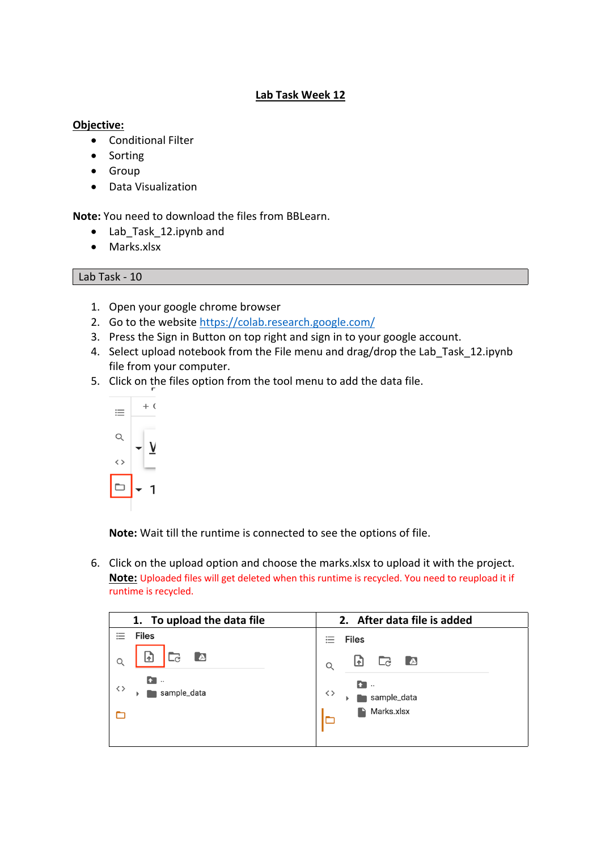## **Lab Task Week 12**

## **Objective:**

- Conditional Filter
- Sorting
- Group
- Data Visualization

**Note:** You need to download the files from BBLearn.

- Lab Task 12.ipynb and
- Marks.xlsx

## Lab Task - 10

- 1. Open your google chrome browser
- 2. Go to the website https://colab.research.google.com/
- 3. Press the Sign in Button on top right and sign in to your google account.
- 4. Select upload notebook from the File menu and drag/drop the Lab Task 12.ipynb file from your computer.
- 5. Click on the files option from the tool menu to add the data file.



**Note:** Wait till the runtime is connected to see the options of file.

6. Click on the upload option and choose the marks.xlsx to upload it with the project. **Note:** Uploaded files will get deleted when this runtime is recycled. You need to reupload it if runtime is recycled.

| 1. To upload the data file           | 2. After data file is added                      |
|--------------------------------------|--------------------------------------------------|
| <b>Files</b><br>$\sim$               | <b>Files</b>                                     |
| $\Delta$<br>ብ<br>$-c$                | $\Box$<br>$\Delta$<br>団<br>$\alpha$              |
| £.<br>$\ddotsc$<br>くゝ<br>sample_data | <b>f</b> .<br>$\langle \ \rangle$<br>sample_data |
|                                      | Marks.xlsx<br>P                                  |
|                                      |                                                  |